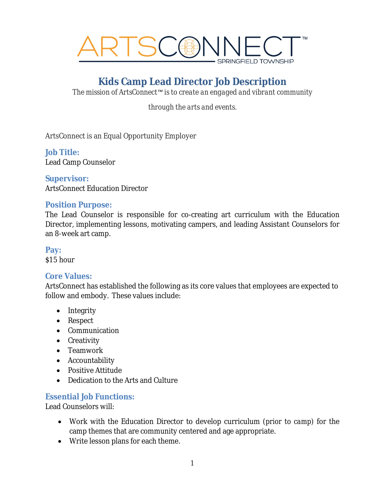

# **Kids Camp Lead Director Job Description**

*The mission of ArtsConnect™ is to create an engaged and vibrant community*

*through the arts and events.*

ArtsConnect is an Equal Opportunity Employer

#### **Job Title:**

Lead Camp Counselor

**Supervisor:** ArtsConnect Education Director

#### **Position Purpose:**

The Lead Counselor is responsible for co-creating art curriculum with the Education Director, implementing lessons, motivating campers, and leading Assistant Counselors for an 8-week art camp.

**Pay:**

\$15 hour

#### **Core Values:**

ArtsConnect has established the following as its core values that employees are expected to follow and embody. These values include:

- Integrity
- Respect
- Communication
- Creativity
- Teamwork
- Accountability
- Positive Attitude
- Dedication to the Arts and Culture

#### **Essential Job Functions:**

Lead Counselors will:

- Work with the Education Director to develop curriculum (*prior to camp)* for the camp themes that are community centered and age appropriate.
- Write lesson plans for each theme.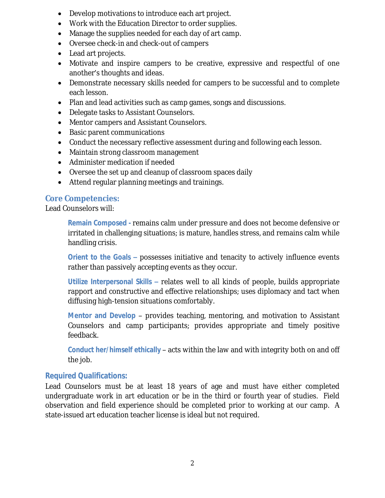- Develop motivations to introduce each art project.
- Work with the Education Director to order supplies.
- Manage the supplies needed for each day of art camp.
- Oversee check-in and check-out of campers
- Lead art projects.
- Motivate and inspire campers to be creative, expressive and respectful of one another's thoughts and ideas.
- Demonstrate necessary skills needed for campers to be successful and to complete each lesson.
- Plan and lead activities such as camp games, songs and discussions.
- Delegate tasks to Assistant Counselors.
- Mentor campers and Assistant Counselors.
- Basic parent communications
- Conduct the necessary reflective assessment during and following each lesson.
- Maintain strong classroom management
- Administer medication if needed
- Oversee the set up and cleanup of classroom spaces daily
- Attend regular planning meetings and trainings.

# **Core Competencies:**

Lead Counselors will:

**Remain Composed -** remains calm under pressure and does not become defensive or irritated in challenging situations; is mature, handles stress, and remains calm while handling crisis.

**Orient to the Goals –** possesses initiative and tenacity to actively influence events rather than passively accepting events as they occur.

**Utilize Interpersonal Skills –** relates well to all kinds of people, builds appropriate rapport and constructive and effective relationships; uses diplomacy and tact when diffusing high-tension situations comfortably.

**Mentor and Develop** – provides teaching, mentoring, and motivation to Assistant Counselors and camp participants; provides appropriate and timely positive feedback.

**Conduct her/himself ethically** – acts within the law and with integrity both on and off the job.

# **Required Qualifications:**

Lead Counselors must be at least 18 years of age and must have either completed undergraduate work in art education or be in the third or fourth year of studies. Field observation and field experience should be completed prior to working at our camp. A state-issued art education teacher license is ideal but not required.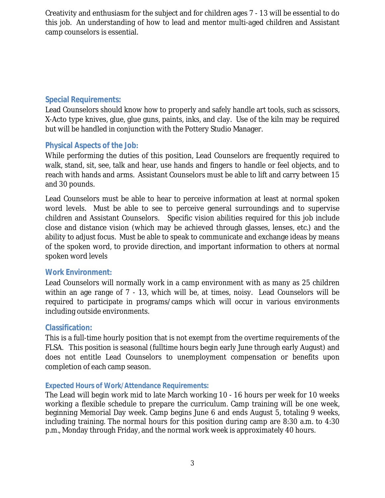Creativity and enthusiasm for the subject and for children ages 7 - 13 will be essential to do this job. An understanding of how to lead and mentor multi-aged children and Assistant camp counselors is essential.

# **Special Requirements:**

Lead Counselors should know how to properly and safely handle art tools, such as scissors, X-Acto type knives, glue, glue guns, paints, inks, and clay. Use of the kiln may be required but will be handled in conjunction with the Pottery Studio Manager.

### **Physical Aspects of the Job:**

While performing the duties of this position, Lead Counselors are frequently required to walk, stand, sit, see, talk and hear, use hands and fingers to handle or feel objects, and to reach with hands and arms. Assistant Counselors must be able to lift and carry between 15 and 30 pounds.

Lead Counselors must be able to hear to perceive information at least at normal spoken word levels. Must be able to see to perceive general surroundings and to supervise children and Assistant Counselors. Specific vision abilities required for this job include close and distance vision (which may be achieved through glasses, lenses, etc.) and the ability to adjust focus. Must be able to speak to communicate and exchange ideas by means of the spoken word, to provide direction, and important information to others at normal spoken word levels

### **Work Environment:**

Lead Counselors will normally work in a camp environment with as many as 25 children within an age range of 7 - 13, which will be, at times, noisy. Lead Counselors will be required to participate in programs/camps which will occur in various environments including outside environments.

### **Classification:**

This is a full-time hourly position that is not exempt from the overtime requirements of the FLSA. This position is seasonal (fulltime hours begin early June through early August) and does not entitle Lead Counselors to unemployment compensation or benefits upon completion of each camp season.

### **Expected Hours of Work/Attendance Requirements:**

The Lead will begin work mid to late March working 10 - 16 hours per week for 10 weeks working a flexible schedule to prepare the curriculum. Camp training will be one week, beginning Memorial Day week. Camp begins June 6 and ends August 5, totaling 9 weeks, including training. The normal hours for this position during camp are 8:30 a.m. to 4:30 p.m., Monday through Friday, and the normal work week is approximately 40 hours.